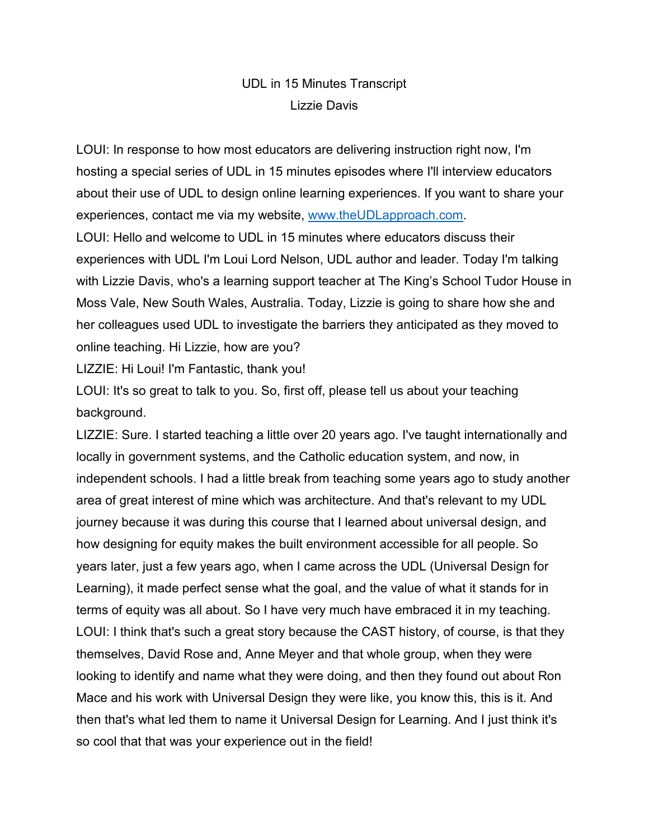## UDL in 15 Minutes Transcript Lizzie Davis

LOUI: In response to how most educators are delivering instruction right now, I'm hosting a special series of UDL in 15 minutes episodes where I'll interview educators about their use of UDL to design online learning experiences. If you want to share your experiences, contact me via my website, [www.theUDLapproach.com.](http://www.theudlapproach.com/) LOUI: Hello and welcome to UDL in 15 minutes where educators discuss their experiences with UDL I'm Loui Lord Nelson, UDL author and leader. Today I'm talking with Lizzie Davis, who's a learning support teacher at The King's School Tudor House in Moss Vale, New South Wales, Australia. Today, Lizzie is going to share how she and her colleagues used UDL to investigate the barriers they anticipated as they moved to online teaching. Hi Lizzie, how are you?

LIZZIE: Hi Loui! I'm Fantastic, thank you!

LOUI: It's so great to talk to you. So, first off, please tell us about your teaching background.

LIZZIE: Sure. I started teaching a little over 20 years ago. I've taught internationally and locally in government systems, and the Catholic education system, and now, in independent schools. I had a little break from teaching some years ago to study another area of great interest of mine which was architecture. And that's relevant to my UDL journey because it was during this course that I learned about universal design, and how designing for equity makes the built environment accessible for all people. So years later, just a few years ago, when I came across the UDL (Universal Design for Learning), it made perfect sense what the goal, and the value of what it stands for in terms of equity was all about. So I have very much have embraced it in my teaching. LOUI: I think that's such a great story because the CAST history, of course, is that they themselves, David Rose and, Anne Meyer and that whole group, when they were looking to identify and name what they were doing, and then they found out about Ron Mace and his work with Universal Design they were like, you know this, this is it. And then that's what led them to name it Universal Design for Learning. And I just think it's so cool that that was your experience out in the field!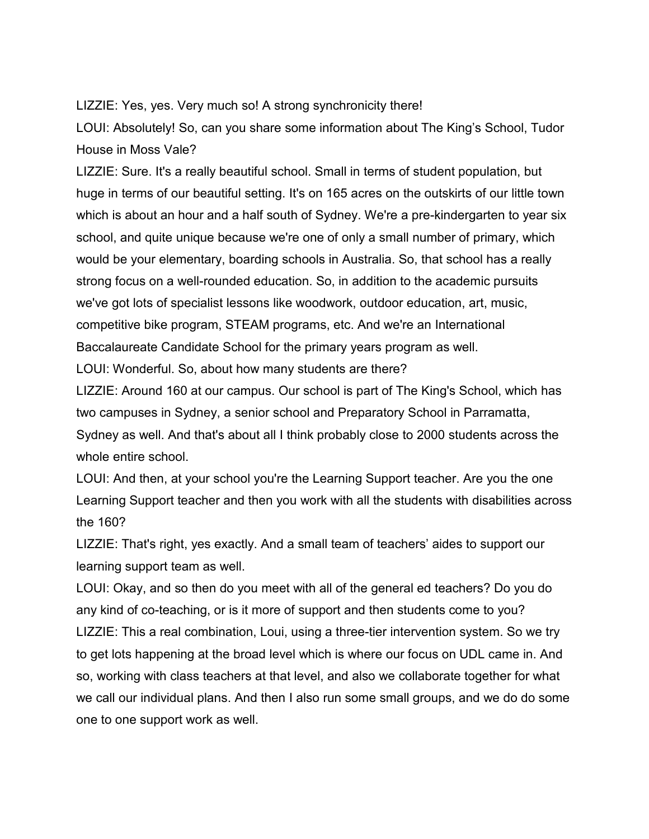LIZZIE: Yes, yes. Very much so! A strong synchronicity there!

LOUI: Absolutely! So, can you share some information about The King's School, Tudor House in Moss Vale?

LIZZIE: Sure. It's a really beautiful school. Small in terms of student population, but huge in terms of our beautiful setting. It's on 165 acres on the outskirts of our little town which is about an hour and a half south of Sydney. We're a pre-kindergarten to year six school, and quite unique because we're one of only a small number of primary, which would be your elementary, boarding schools in Australia. So, that school has a really strong focus on a well-rounded education. So, in addition to the academic pursuits we've got lots of specialist lessons like woodwork, outdoor education, art, music, competitive bike program, STEAM programs, etc. And we're an International Baccalaureate Candidate School for the primary years program as well.

LOUI: Wonderful. So, about how many students are there?

LIZZIE: Around 160 at our campus. Our school is part of The King's School, which has two campuses in Sydney, a senior school and Preparatory School in Parramatta, Sydney as well. And that's about all I think probably close to 2000 students across the whole entire school.

LOUI: And then, at your school you're the Learning Support teacher. Are you the one Learning Support teacher and then you work with all the students with disabilities across the 160?

LIZZIE: That's right, yes exactly. And a small team of teachers' aides to support our learning support team as well.

LOUI: Okay, and so then do you meet with all of the general ed teachers? Do you do any kind of co-teaching, or is it more of support and then students come to you? LIZZIE: This a real combination, Loui, using a three-tier intervention system. So we try to get lots happening at the broad level which is where our focus on UDL came in. And so, working with class teachers at that level, and also we collaborate together for what we call our individual plans. And then I also run some small groups, and we do do some one to one support work as well.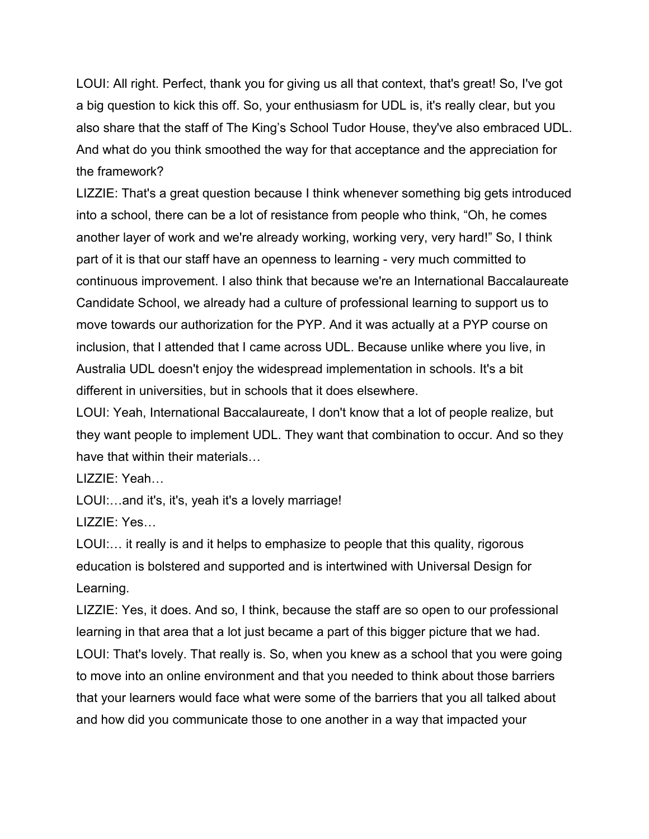LOUI: All right. Perfect, thank you for giving us all that context, that's great! So, I've got a big question to kick this off. So, your enthusiasm for UDL is, it's really clear, but you also share that the staff of The King's School Tudor House, they've also embraced UDL. And what do you think smoothed the way for that acceptance and the appreciation for the framework?

LIZZIE: That's a great question because I think whenever something big gets introduced into a school, there can be a lot of resistance from people who think, "Oh, he comes another layer of work and we're already working, working very, very hard!" So, I think part of it is that our staff have an openness to learning - very much committed to continuous improvement. I also think that because we're an International Baccalaureate Candidate School, we already had a culture of professional learning to support us to move towards our authorization for the PYP. And it was actually at a PYP course on inclusion, that I attended that I came across UDL. Because unlike where you live, in Australia UDL doesn't enjoy the widespread implementation in schools. It's a bit different in universities, but in schools that it does elsewhere.

LOUI: Yeah, International Baccalaureate, I don't know that a lot of people realize, but they want people to implement UDL. They want that combination to occur. And so they have that within their materials…

LIZZIE: Yeah…

LOUI:…and it's, it's, yeah it's a lovely marriage!

LIZZIE: Yes…

LOUI:… it really is and it helps to emphasize to people that this quality, rigorous education is bolstered and supported and is intertwined with Universal Design for Learning.

LIZZIE: Yes, it does. And so, I think, because the staff are so open to our professional learning in that area that a lot just became a part of this bigger picture that we had. LOUI: That's lovely. That really is. So, when you knew as a school that you were going to move into an online environment and that you needed to think about those barriers that your learners would face what were some of the barriers that you all talked about and how did you communicate those to one another in a way that impacted your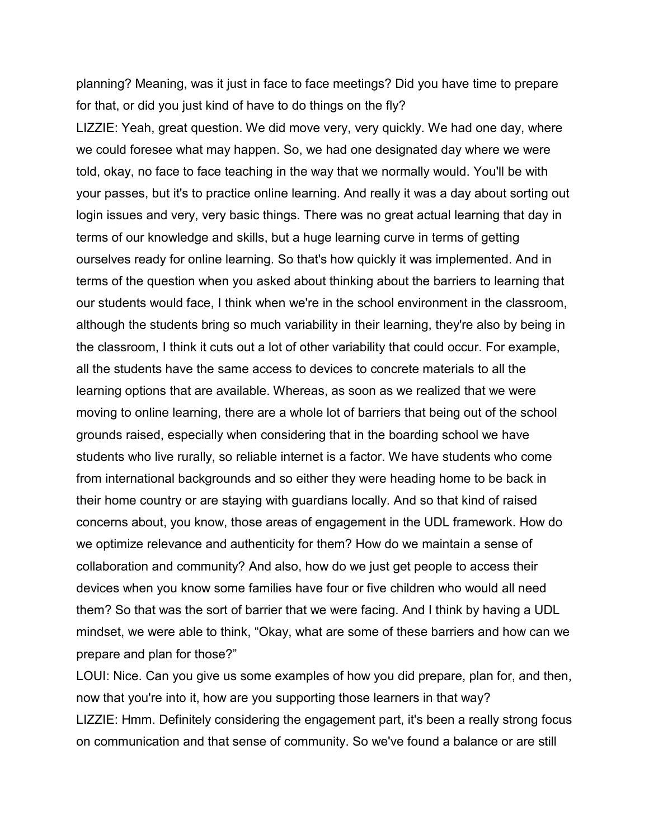planning? Meaning, was it just in face to face meetings? Did you have time to prepare for that, or did you just kind of have to do things on the fly?

LIZZIE: Yeah, great question. We did move very, very quickly. We had one day, where we could foresee what may happen. So, we had one designated day where we were told, okay, no face to face teaching in the way that we normally would. You'll be with your passes, but it's to practice online learning. And really it was a day about sorting out login issues and very, very basic things. There was no great actual learning that day in terms of our knowledge and skills, but a huge learning curve in terms of getting ourselves ready for online learning. So that's how quickly it was implemented. And in terms of the question when you asked about thinking about the barriers to learning that our students would face, I think when we're in the school environment in the classroom, although the students bring so much variability in their learning, they're also by being in the classroom, I think it cuts out a lot of other variability that could occur. For example, all the students have the same access to devices to concrete materials to all the learning options that are available. Whereas, as soon as we realized that we were moving to online learning, there are a whole lot of barriers that being out of the school grounds raised, especially when considering that in the boarding school we have students who live rurally, so reliable internet is a factor. We have students who come from international backgrounds and so either they were heading home to be back in their home country or are staying with guardians locally. And so that kind of raised concerns about, you know, those areas of engagement in the UDL framework. How do we optimize relevance and authenticity for them? How do we maintain a sense of collaboration and community? And also, how do we just get people to access their devices when you know some families have four or five children who would all need them? So that was the sort of barrier that we were facing. And I think by having a UDL mindset, we were able to think, "Okay, what are some of these barriers and how can we prepare and plan for those?"

LOUI: Nice. Can you give us some examples of how you did prepare, plan for, and then, now that you're into it, how are you supporting those learners in that way? LIZZIE: Hmm. Definitely considering the engagement part, it's been a really strong focus on communication and that sense of community. So we've found a balance or are still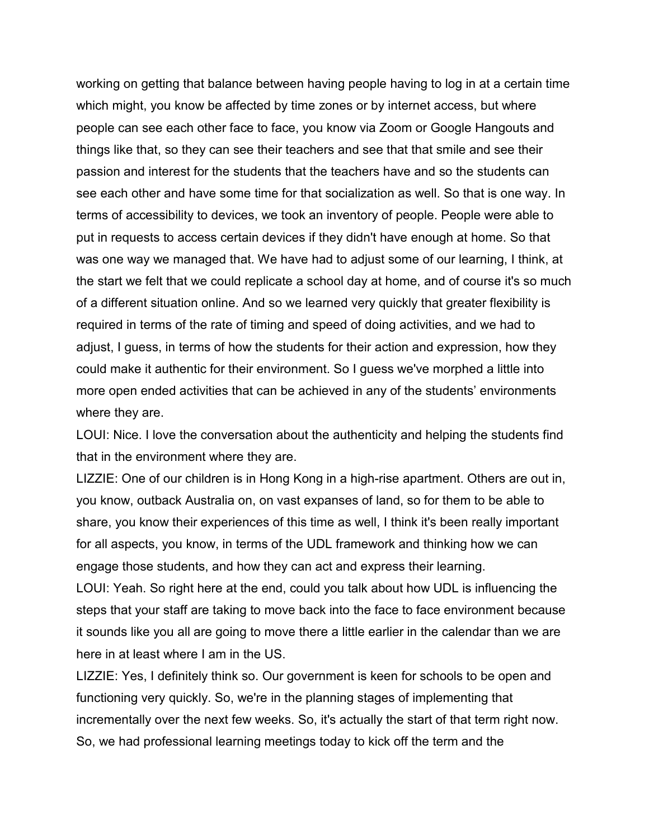working on getting that balance between having people having to log in at a certain time which might, you know be affected by time zones or by internet access, but where people can see each other face to face, you know via Zoom or Google Hangouts and things like that, so they can see their teachers and see that that smile and see their passion and interest for the students that the teachers have and so the students can see each other and have some time for that socialization as well. So that is one way. In terms of accessibility to devices, we took an inventory of people. People were able to put in requests to access certain devices if they didn't have enough at home. So that was one way we managed that. We have had to adjust some of our learning, I think, at the start we felt that we could replicate a school day at home, and of course it's so much of a different situation online. And so we learned very quickly that greater flexibility is required in terms of the rate of timing and speed of doing activities, and we had to adjust, I guess, in terms of how the students for their action and expression, how they could make it authentic for their environment. So I guess we've morphed a little into more open ended activities that can be achieved in any of the students' environments where they are.

LOUI: Nice. I love the conversation about the authenticity and helping the students find that in the environment where they are.

LIZZIE: One of our children is in Hong Kong in a high-rise apartment. Others are out in, you know, outback Australia on, on vast expanses of land, so for them to be able to share, you know their experiences of this time as well, I think it's been really important for all aspects, you know, in terms of the UDL framework and thinking how we can engage those students, and how they can act and express their learning.

LOUI: Yeah. So right here at the end, could you talk about how UDL is influencing the steps that your staff are taking to move back into the face to face environment because it sounds like you all are going to move there a little earlier in the calendar than we are here in at least where I am in the US.

LIZZIE: Yes, I definitely think so. Our government is keen for schools to be open and functioning very quickly. So, we're in the planning stages of implementing that incrementally over the next few weeks. So, it's actually the start of that term right now. So, we had professional learning meetings today to kick off the term and the